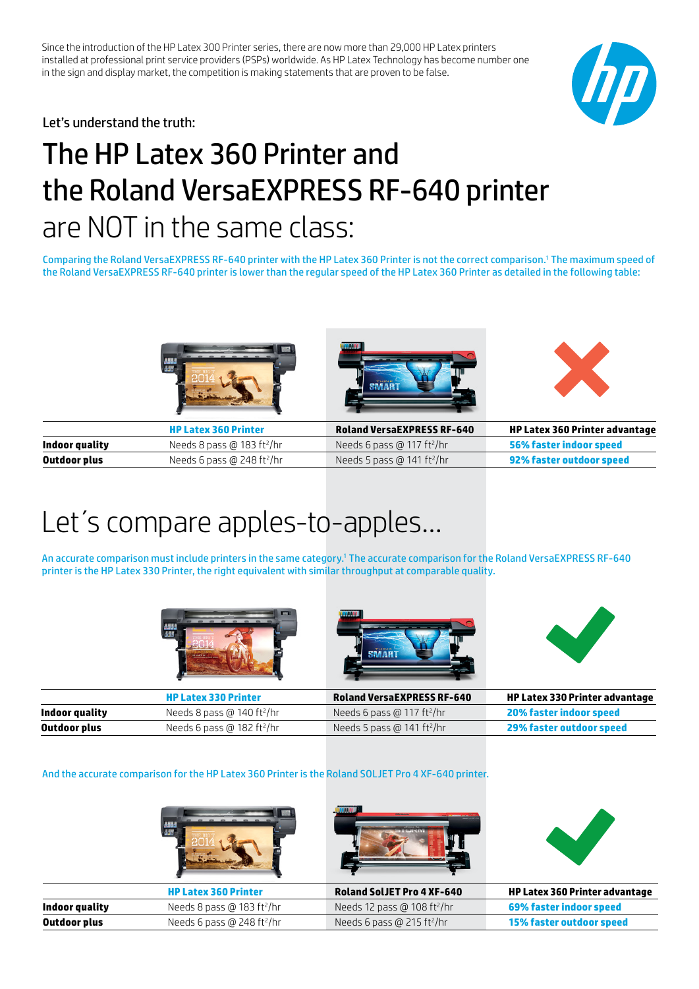Since the introduction of the HP Latex 300 Printer series, there are now more than 29,000 HP Latex printers installed at professional print service providers (PSPs) worldwide. As HP Latex Technology has become number one in the sign and display market, the competition is making statements that are proven to be false.



Let's understand the truth:

# The HP Latex 360 Printer and the Roland VersaEXPRESS RF-640 printer are NOT in the same class:

Comparing the Roland VersaEXPRESS RF-640 printer with the HP Latex 360 Printer is not the correct comparison.1 The maximum speed of the Roland VersaEXPRESS RF-640 printer is lower than the regular speed of the HP Latex 360 Printer as detailed in the following table:







|                | <b>HP Latex 360 Printer</b>            | <b>Roland VersaEXPRESS RF-640</b>      | <b>HP Latex 360 Printer advantage</b> |
|----------------|----------------------------------------|----------------------------------------|---------------------------------------|
| Indoor quality | Needs 8 pass @ 183 ft <sup>2</sup> /hr | Needs 6 pass @ 117 ft <sup>2</sup> /hr | 56% faster indoor speed               |
| Outdoor plus   | Needs 6 pass @ 248 ft²/hr              | Needs 5 pass @ 141 ft <sup>2</sup> /hr | 92% faster outdoor speed              |

## Let´s compare apples-to-apples…

An accurate comparison must include printers in the same category.' The accurate comparison for the Roland VersaEXPRESS RF-640 printer is the HP Latex 330 Printer, the right equivalent with similar throughput at comparable quality.







|                | <b>HP Latex 330 Printer</b>            | <b>Roland VersaEXPRESS RF-640</b>      | <b>HP Latex 330 Printer advantage</b> |
|----------------|----------------------------------------|----------------------------------------|---------------------------------------|
| Indoor quality | Needs 8 pass @ 140 ft <sup>2</sup> /hr | Needs 6 pass @ 117 ft²/hr              | <b>20% faster indoor speed</b>        |
| Outdoor plus   | Needs 6 pass @ 182 ft <sup>2</sup> /hr | Needs 5 pass @ 141 ft <sup>2</sup> /hr | 29% faster outdoor speed              |

#### And the accurate comparison for the HP Latex 360 Printer is the Roland SOLJET Pro 4 XF-640 printer.

|                |                                        | <b>CONTRACTOR</b>                       |                                       |
|----------------|----------------------------------------|-----------------------------------------|---------------------------------------|
|                | <b>HP Latex 360 Printer</b>            | <b>Roland SolJET Pro 4 XF-640</b>       | <b>HP Latex 360 Printer advantage</b> |
| Indoor quality | Needs 8 pass @ 183 ft <sup>2</sup> /hr | Needs 12 pass @ 108 ft <sup>2</sup> /hr | 69% faster indoor speed               |
| Outdoor plus   | Needs 6 pass @ 248 ft <sup>2</sup> /hr | Needs 6 pass @ 215 ft <sup>2</sup> /hr  | <b>15% faster outdoor speed</b>       |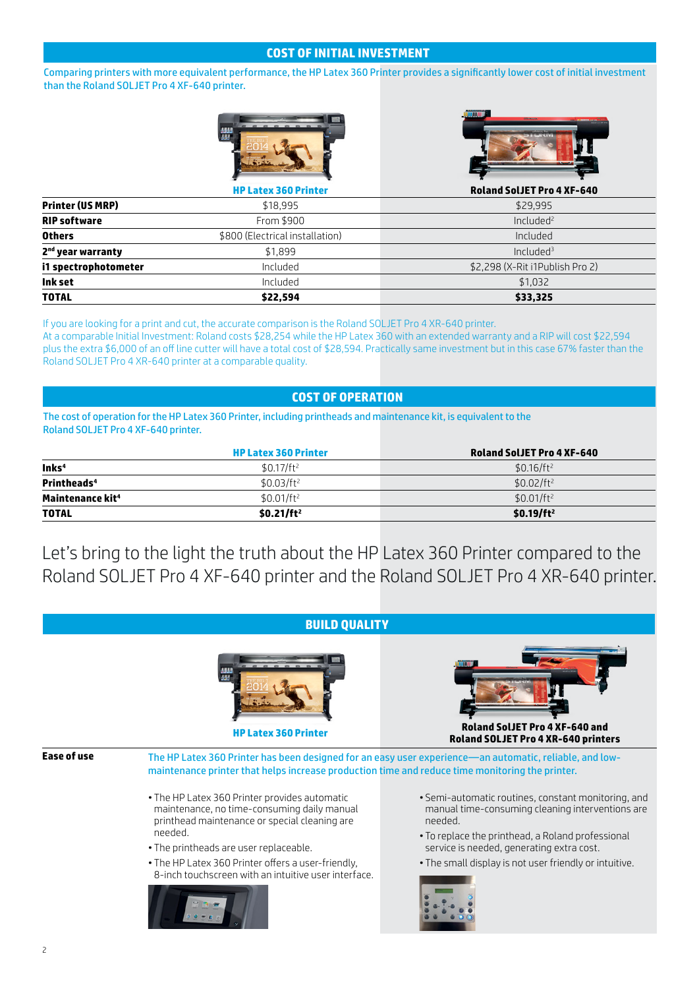## **COST OF INITIAL INVESTMENT**

Comparing printers with more equivalent performance, the HP Latex 360 Printer provides a significantly lower cost of initial investment than the Roland SOLJET Pro 4 XF-640 printer.





|                               | <b>HP Latex 360 Printer</b>     | <b>Roland SolJET Pro 4 XF-640</b> |
|-------------------------------|---------------------------------|-----------------------------------|
| <b>Printer (US MRP)</b>       | \$18,995                        | \$29.995                          |
| <b>RIP software</b>           | From \$900                      | Included <sup>2</sup>             |
| <b>Others</b>                 | \$800 (Electrical installation) | Included                          |
| 2 <sup>nd</sup> year warranty | \$1.899                         | Included <sup>3</sup>             |
| i1 spectrophotometer          | Included                        | \$2,298 (X-Rit i1Publish Pro 2)   |
| Ink set                       | Included                        | \$1,032                           |
| <b>TOTAL</b>                  | \$22.594                        | \$33,325                          |

If you are looking for a print and cut, the accurate comparison is the Roland SOLJET Pro 4 XR-640 printer.

At a comparable Initial Investment: Roland costs \$28,254 while the HP Latex 360 with an extended warranty and a RIP will cost \$22,594 plus the extra \$6,000 of an off line cutter will have a total cost of \$28,594. Practically same investment but in this case 67% faster than the Roland SOLJET Pro 4 XR-640 printer at a comparable quality.

## **COST OF OPERATION**

The cost of operation for the HP Latex 360 Printer, including printheads and maintenance kit, is equivalent to the Roland SOLJET Pro 4 XF-640 printer.

|                              | <b>HP Latex 360 Printer</b> | <b>Roland SolJET Pro 4 XF-640</b> |
|------------------------------|-----------------------------|-----------------------------------|
| $ln$ ks <sup>4</sup>         | $$0.17/ft^2$                | $$0.16/ft^2$                      |
| Printheads <sup>4</sup>      | $$0.03/ft^2$                | $$0.02/ft^2$                      |
| Maintenance kit <sup>4</sup> | $$0.01/ft^2$                | $$0.01/ft^2$                      |
| <b>TOTAL</b>                 | \$0.21/ft <sup>2</sup>      | $$0.19/ft^2$                      |

Let's bring to the light the truth about the HP Latex 360 Printer compared to the Roland SOLJET Pro 4 XF-640 printer and the Roland SOLJET Pro 4 XR-640 printer.

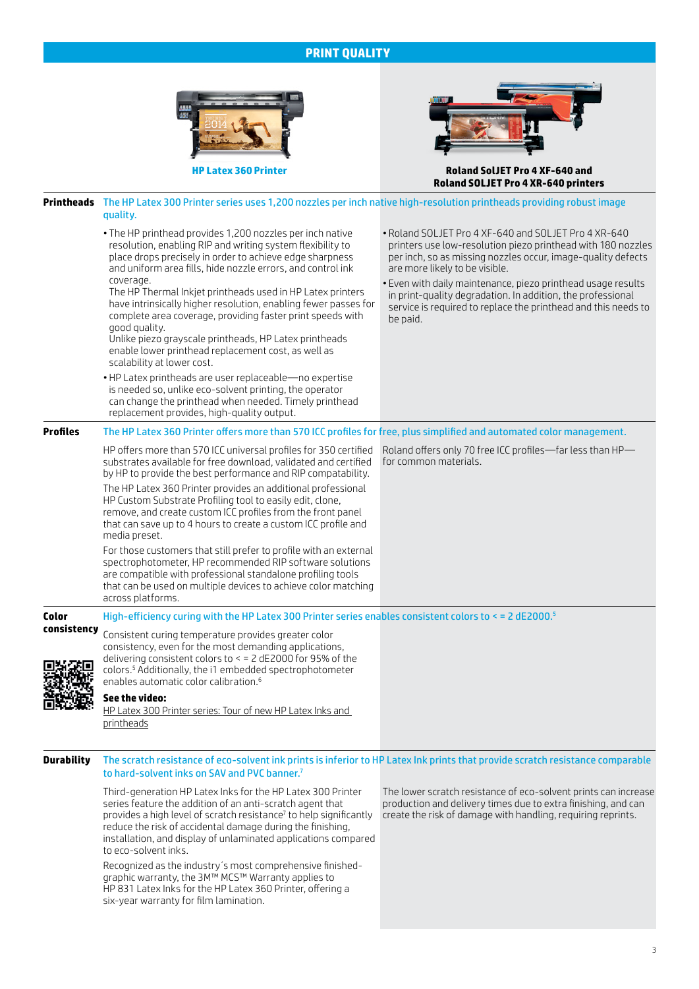## **PRINT QUALITY**



Third-generation HP Latex Inks for the HP Latex 300 Printer series feature the addition of an anti-scratch agent that provides a high level of scratch resistance<sup>7</sup> to help significantly reduce the risk of accidental damage during the finishing, installation, and display of unlaminated applications compared to eco-solvent inks.

Recognized as the industry´s most comprehensive finishedgraphic warranty, the 3M™ MCS™ Warranty applies to HP 831 Latex Inks for the HP Latex 360 Printer, offering a six-year warranty for film lamination.

The lower scratch resistance of eco-solvent prints can increase production and delivery times due to extra finishing, and can create the risk of damage with handling, requiring reprints.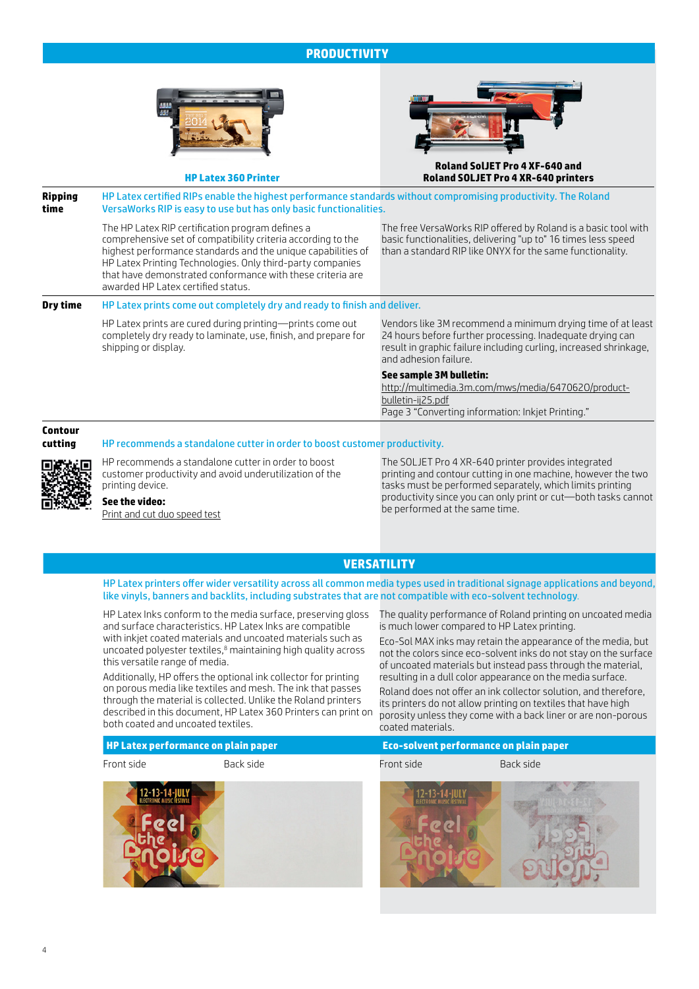## **PRODUCTIVITY**



**HP Latex 360 Printer**



#### **Roland SolJET Pro 4 XF-640 and Roland SOLJET Pro 4 XR-640 printers**

| <b>Ripping</b><br>time | HP Latex certified RIPs enable the highest performance standards without compromising productivity. The Roland<br>VersaWorks RIP is easy to use but has only basic functionalities.                                                                                                                                                                |                                                                                                                                                                                                                        |  |
|------------------------|----------------------------------------------------------------------------------------------------------------------------------------------------------------------------------------------------------------------------------------------------------------------------------------------------------------------------------------------------|------------------------------------------------------------------------------------------------------------------------------------------------------------------------------------------------------------------------|--|
|                        | The HP Latex RIP certification program defines a<br>comprehensive set of compatibility criteria according to the<br>highest performance standards and the unique capabilities of<br>HP Latex Printing Technologies. Only third-party companies<br>that have demonstrated conformance with these criteria are<br>awarded HP Latex certified status. | The free VersaWorks RIP offered by Roland is a basic tool with<br>basic functionalities, delivering "up to" 16 times less speed<br>than a standard RIP like ONYX for the same functionality.                           |  |
| Dry time               | HP Latex prints come out completely dry and ready to finish and deliver.                                                                                                                                                                                                                                                                           |                                                                                                                                                                                                                        |  |
|                        | HP Latex prints are cured during printing-prints come out<br>completely dry ready to laminate, use, finish, and prepare for<br>shipping or display.                                                                                                                                                                                                | Vendors like 3M recommend a minimum drying time of at least<br>24 hours before further processing. Inadequate drying can<br>result in graphic failure including curling, increased shrinkage,<br>and adhesion failure. |  |

#### **See sample 3M bulletin:**

[http://multimedia.3m.com/mws/media/647062O/product](http://multimedia.3m.com/mws/media/647062O/product-bulletin-ij25.pdf)[bulletin-ij25.pdf](http://multimedia.3m.com/mws/media/647062O/product-bulletin-ij25.pdf) Page 3 "Converting information: Inkjet Printing."

## **Contour**

#### **cutting** HP recommends a standalone cutter in order to boost customer productivity.



HP recommends a standalone cutter in order to boost customer productivity and avoid underutilization of the printing device.

#### **See the video:**  [Print and cut duo speed test](https://www.youtube.com/watch?v=GU65Sc-nCA4)

The SOLJET Pro 4 XR-640 printer provides integrated printing and contour cutting in one machine, however the two tasks must be performed separately, which limits printing productivity since you can only print or cut—both tasks cannot be performed at the same time.

## **VERSATILITY**

HP Latex printers offer wider versatility across all common media types used in traditional signage applications and beyond, like vinyls, banners and backlits, including substrates that are not compatible with eco-solvent technology.

HP Latex Inks conform to the media surface, preserving gloss and surface characteristics. HP Latex Inks are compatible with inkjet coated materials and uncoated materials such as uncoated polyester textiles,<sup>8</sup> maintaining high quality across this versatile range of media.

Additionally, HP offers the optional ink collector for printing on porous media like textiles and mesh. The ink that passes through the material is collected. Unlike the Roland printers described in this document, HP Latex 360 Printers can print on both coated and uncoated textiles.

The quality performance of Roland printing on uncoated media is much lower compared to HP Latex printing.

Eco-Sol MAX inks may retain the appearance of the media, but not the colors since eco-solvent inks do not stay on the surface of uncoated materials but instead pass through the material, resulting in a dull color appearance on the media surface.

Roland does not offer an ink collector solution, and therefore, its printers do not allow printing on textiles that have high porosity unless they come with a back liner or are non-porous coated materials.

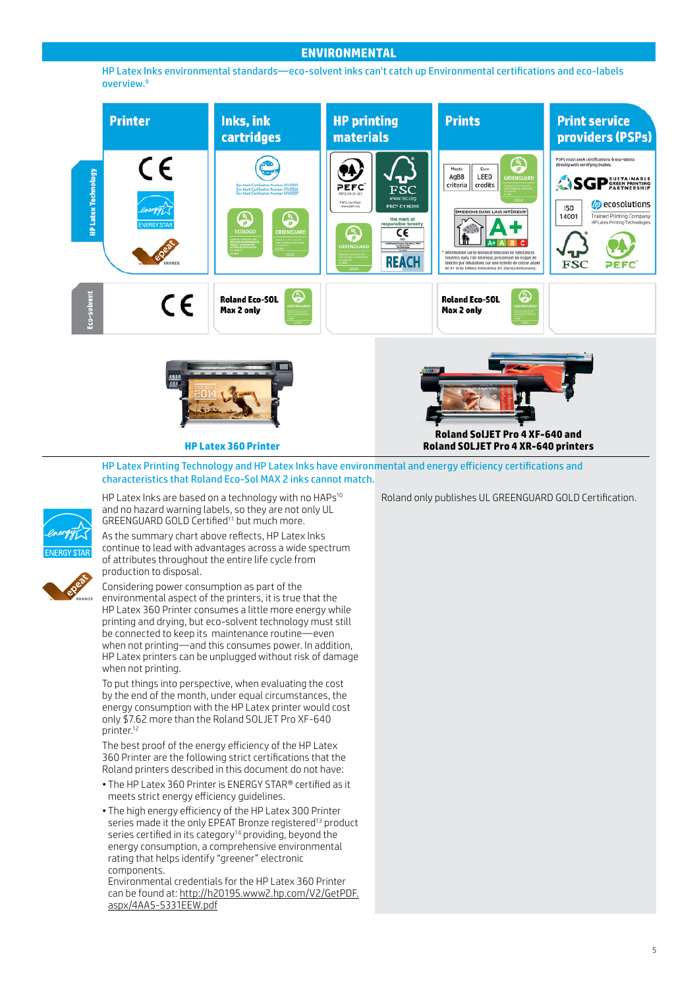### **ENVIRONMENTAL**

HP Latex Inks environmental standards—eco-solvent inks can't catch up Environmental certifications and eco-labels overview.9



HP Latex Printing Technology and HP Latex Inks have environmental and energy efficiency certifications and characteristics that Roland Eco-Sol MAX 2 inks cannot match.

HP Latex Inks are based on a technology with no HAPs<sup>10</sup> and no hazard warning labels, so they are not only UL GREENGUARD GOLD Certified<sup>11</sup> but much more.

As the summary chart above reflects, HP Latex Inks continue to lead with advantages across a wide spectrum of attributes throughout the entire life cycle from production to disposal.



Considering power consumption as part of the environmental aspect of the printers, it is true that the HP Latex 360 Printer consumes a little more energy while printing and drying, but eco-solvent technology must still be connected to keep its maintenance routine—even when not printing—and this consumes power. In addition, HP Latex printers can be unplugged without risk of damage when not printing.

To put things into perspective, when evaluating the cost by the end of the month, under equal circumstances, the energy consumption with the HP Latex printer would cost only \$7.62 more than the Roland SOLJET Pro XF-640 printer.<sup>12</sup>

The best proof of the energy efficiency of the HP Latex 360 Printer are the following strict certifications that the Roland printers described in this document do not have:

- The HP Latex 360 Printer is ENERGY STAR® certified as it meets strict energy efficiency guidelines.
- The high energy efficiency of the HP Latex 300 Printer series made it the only EPEAT Bronze registered<sup>13</sup> product series certified in its category<sup>14</sup> providing, beyond the energy consumption, a comprehensive environmental rating that helps identify "greener" electronic components.

Environmental credentials for the HP Latex 360 Printer can be found at: [http://h20195.www2.hp.com/V2/GetPDF.](http://h20195.www2.hp.com/V2/GetPDF.aspx/4AA5-5331EEW.pdf) [aspx/4AA5-5331EEW.pdf](http://h20195.www2.hp.com/V2/GetPDF.aspx/4AA5-5331EEW.pdf)

Roland only publishes UL GREENGUARD GOLD Certification.